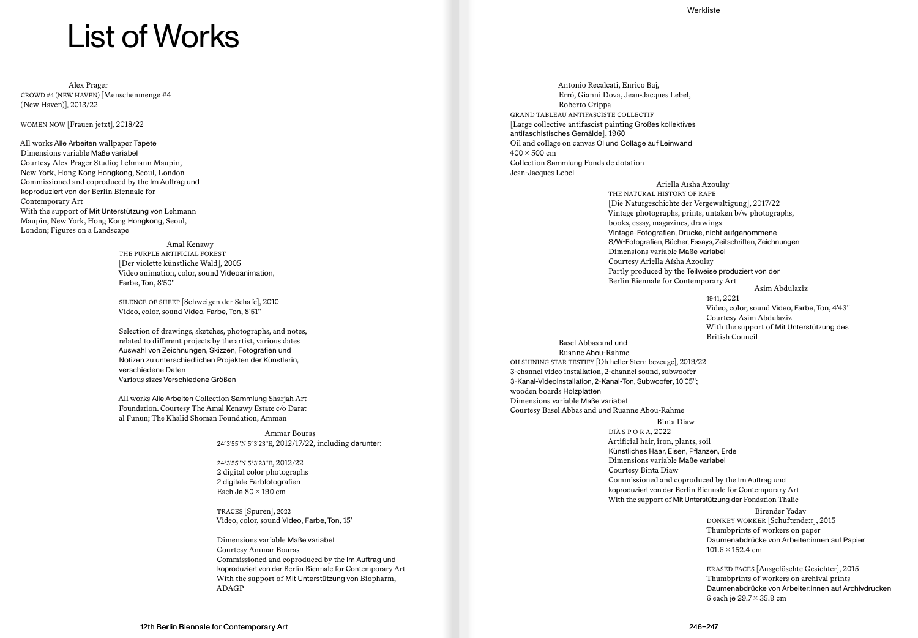# List of Works

Alex Prager CROWD #4 (NEW HAVEN) [Menschenmenge #4 (New Haven)], 2013/22

WOMEN NOW [Frauen jetzt], 2018/22

All works Alle Arbeiten wallpaper Tapete Dimensions variable Maße variabel Courtesy Alex Prager Studio; Lehmann Maupin, New York, Hong Kong Hongkong, Seoul, London Commissioned and coproduced by the Im Auftrag und koproduziert von der Berlin Biennale for Contemporary Art With the support of Mit Unterstützung von Lehmann Maupin, New York, Hong Kong Hongkong, Seoul, London; Figures on a Landscape

> Amal Kenawy THE PURPLE ARTIFICIAL FOREST [Der violette künstliche Wald], 2005 Video animation, color, sound Videoanimation, Farbe, Ton, 8′50′′

SILENCE OF SHEEP [Schweigen der Schafe], 2010 Video, color, sound Video, Farbe, Ton, 8′51′′

Selection of drawings, sketches, photographs, and notes, related to different projects by the artist, various dates Auswahl von Zeichnungen, Skizzen, Fotografien und Notizen zu unterschiedlichen Projekten der Künstlerin, verschiedene Daten Various sizes Verschiedene Größen

All works Alle Arbeiten Collection Sammlung Sharjah Art Foundation. Courtesy The Amal Kenawy Estate c/o Darat al Funun; The Khalid Shoman Foundation, Amman

> Ammar Bouras 24°3′55′′N 5°3′23′′E, 2012/17/22, including darunter:

24°3′55′′N 5°3′23′′E, 2012/22 2 digital color photographs 2 digitale Farbfotografien Each Je  $80 \times 190$  cm

TRACES [Spuren], 2022 Video, color, sound Video, Farbe, Ton, 15′

Dimensions variable Maße variabel Courtesy Ammar Bouras Commissioned and coproduced by the Im Auftrag und koproduziert von der Berlin Biennale for Contemporary Art With the support of Mit Unterstützung von Biopharm, ADAGP

Antonio Recalcati, Enrico Baj, Erró, Gianni Dova, Jean-Jacques Lebel, Roberto Crippa GRAND TABLEAU ANTIFASCISTE COLLECTIF [Large collective antifascist painting Großes kollektives antifaschistisches Gemälde], 1960 Oil and collage on canvas Öl und Collage auf Leinwand  $400 \times 500$  cm Collection Sammlung Fonds de dotation Jean-Jacques Lebel

> Ariella Aïsha Azoulay THE NATURAL HISTORY OF RAPE [Die Naturgeschichte der Vergewaltigung], 2017/22 Vintage photographs, prints, untaken b/w photographs, books, essay, magazines, drawings Vintage-Fotografien, Drucke, nicht aufgenommene S/W-Fotografien, Bücher, Essays, Zeitschriften, Zeichnungen Dimensions variable Maße variabel Courtesy Ariella Aïsha Azoulay Partly produced by the Teilweise produziert von der Berlin Biennale for Contemporary Art Asim Abdulaziz

> > 1941, 2021 Video, color, sound Video, Farbe, Ton, 4′43′′ Courtesy Asim Abdulaziz With the support of Mit Unterstützung des British Council

Basel Abbas and und Ruanne Abou-Rahme OH SHINING STAR TESTIFY [Oh heller Stern bezeuge], 2019/22 3-channel video installation, 2-channel sound, subwoofer 3-Kanal-Videoinstallation, 2-Kanal-Ton, Subwoofer, 10′05′′; wooden boards Holzplatten Dimensions variable Maße variabel Courtesy Basel Abbas and und Ruanne Abou-Rahme

## Binta Diaw

DÏÀ S P O R A, 2022 Artificial hair, iron, plants, soil Künstliches Haar, Eisen, Pflanzen, Erde Dimensions variable Maße variabel Courtesy Binta Diaw Commissioned and coproduced by the Im Auftrag und koproduziert von der Berlin Biennale for Contemporary Art With the support of Mit Unterstützung der Fondation Thalie

Birender Yadav

DONKEY WORKER [Schuftende:r], 2015 Thumbprints of workers on paper Daumenabdrücke von Arbeiter:innen auf Papier 101.6 × 152.4 cm

ERASED FACES [Ausgelöschte Gesichter], 2015 Thumbprints of workers on archival prints Daumenabdrücke von Arbeiter:innen auf Archivdrucken 6 each je 29.7 × 35.9 cm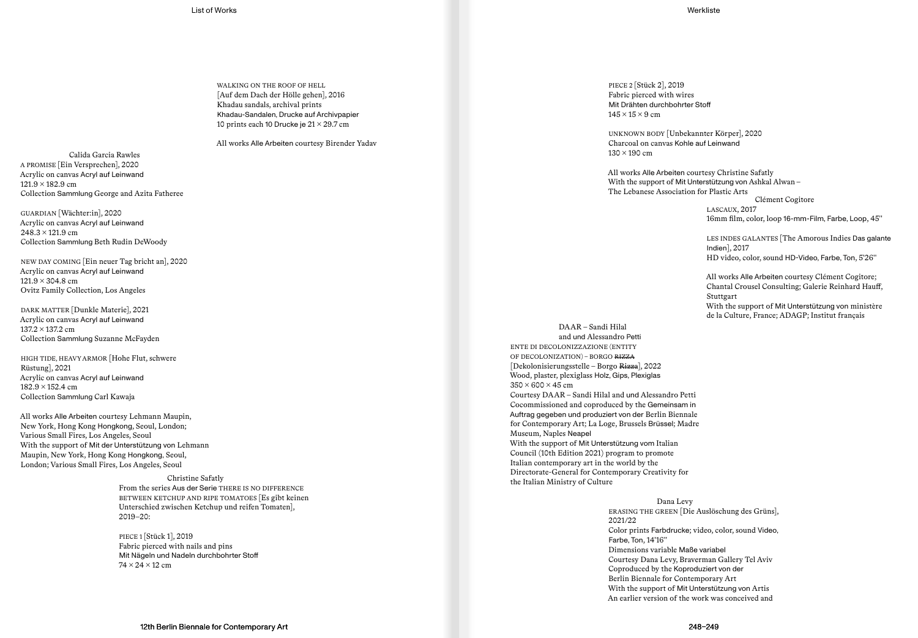WALKING ON THE ROOF OF HELL [Auf dem Dach der Hölle gehen], 2016 Khadau sandals, archival prints Khadau-Sandalen, Drucke auf Archivpapier 10 prints each 10 Drucke je  $21 \times 29.7$  cm

All works Alle Arbeiten courtesy Birender Yadav

Calida Garcia Rawles A PROMISE [Ein Versprechen], 2020 Acrylic on canvas Acryl auf Leinwand  $121.9 \times 182.9$  cm Collection Sammlung George and Azita Fatheree

GUARDIAN [Wächter:in], 2020 Acrylic on canvas Acryl auf Leinwand  $248.3 \times 121.9$  cm Collection Sammlung Beth Rudin DeWoody

NEW DAY COMING [Ein neuer Tag bricht an], 2020 Acrylic on canvas Acryl auf Leinwand  $121.9 \times 304.8$  cm Ovitz Family Collection, Los Angeles

DARK MATTER [Dunkle Materie], 2021 Acrylic on canvas Acryl auf Leinwand 137.2 × 137.2 cm Collection Sammlung Suzanne McFayden

HIGH TIDE, HEAVY ARMOR [Hohe Flut, schwere Rüstung], 2021 Acrylic on canvas Acryl auf Leinwand 182.9 × 152.4 cm Collection Sammlung Carl Kawaja

All works Alle Arbeiten courtesy Lehmann Maupin, New York, Hong Kong Hongkong, Seoul, London; Various Small Fires, Los Angeles, Seoul With the support of Mit der Unterstützung von Lehmann Maupin, New York, Hong Kong Hongkong, Seoul, London; Various Small Fires, Los Angeles, Seoul

> Christine Safatly From the series Aus der Serie THERE IS NO DIFFERENCE BETWEEN KETCHUP AND RIPE TOMATOES [Es gibt keinen Unterschied zwischen Ketchup und reifen Tomaten], 2019–20:

PIECE 1 [Stück 1], 2019 Fabric pierced with nails and pins Mit Nägeln und Nadeln durchbohrter Stoff 74 × 24 × 12 cm

PIECE 2 [Stück 2], 2019 Fabric pierced with wires Mit Drähten durchbohrter Stoff  $145 \times 15 \times 9$  cm

UNKNOWN BODY [Unbekannter Körper], 2020 Charcoal on canvas Kohle auf Leinwand 130 × 190 cm

All works Alle Arbeiten courtesy Christine Safatly With the support of Mit Unterstützung von Ashkal Alwan – The Lebanese Association for Plastic Arts

Clément Cogitore LASCAUX, 2017 16mm film, color, loop 16-mm-Film, Farbe, Loop, 45′′

LES INDES GALANTES [The Amorous Indies Das galante Indien], 2017 HD video, color, sound HD-Video, Farbe, Ton, 5′26′′

All works Alle Arbeiten courtesy Clément Cogitore; Chantal Crousel Consulting; Galerie Reinhard Hauff, Stuttgart With the support of Mit Unterstützung von ministère de la Culture, France; ADAGP; Institut français

DAAR – Sandi Hilal and und Alessandro Petti ENTE DI DECOLONIZZAZIONE (ENTITY OF DECOLONIZATION) – BORGO RIZZA [Dekolonisierungsstelle – Borgo Rizza], 2022 Wood, plaster, plexiglass Holz, Gips, Plexiglas  $350 \times 600 \times 45$  cm Courtesy DAAR – Sandi Hilal and und Alessandro Petti Cocommissioned and coproduced by the Gemeinsam in Auftrag gegeben und produziert von der Berlin Biennale for Contemporary Art; La Loge, Brussels Brüssel; Madre Museum, Naples Neapel With the support of Mit Unterstützung vom Italian Council (10th Edition 2021) program to promote Italian contemporary art in the world by the Directorate-General for Contemporary Creativity for the Italian Ministry of Culture

> Dana Levy ERASING THE GREEN [Die Auslöschung des Grüns], 2021/22 Color prints Farbdrucke; video, color, sound Video, Farbe, Ton, 14′16′′ Dimensions variable Maße variabel Courtesy Dana Levy, Braverman Gallery Tel Aviv Coproduced by the Koproduziert von der Berlin Biennale for Contemporary Art With the support of Mit Unterstützung von Artis An earlier version of the work was conceived and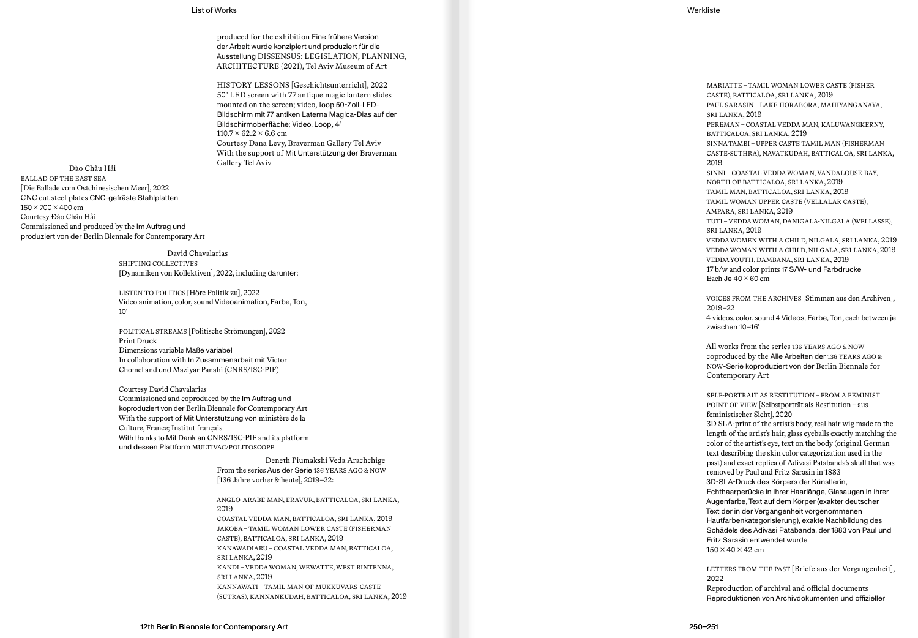## List of Works Werkliste

produced for the exhibition Eine frühere Version der Arbeit wurde konzipiert und produziert für die Ausstellung DISSENSUS: LEGISLATION, PLANNING, ARCHITECTURE (2021), Tel Aviv Museum of Art

HISTORY LESSONS [Geschichtsunterricht], 2022 50" LED screen with 77 antique magic lantern slides mounted on the screen; video, loop 50-Zoll-LED-Bildschirm mit 77 antiken Laterna Magica-Dias auf der Bildschirmoberfläche; Video, Loop, 4′  $110.7 \times 62.2 \times 6.6$  cm Courtesy Dana Levy, Braverman Gallery Tel Aviv With the support of Mit Unterstützung der Braverman

Gallery Tel Aviv Đào Châu Hả<sup>i</sup> BALLAD OF THE EAST SEA [Die Ballade vom Ostchinesischen Meer], 2022 CNC cut steel plates CNC-gefräste Stahlplatten 150 × 700 × 400 cm Courtesy Đào Châu H ả i Commissioned and produced by the Im Auftrag und produziert von der Berlin Biennale for Contemporary Art

> David Chavalarias SHIFTING COLLECTIVES [Dynamiken von Kollektiven], 2022, including darunter :

LISTEN TO POLITICS [Höre Politik zu], 2022 Video animation, color, sound Videoanimation, Farbe, Ton, 10′

POLITICAL STREAMS [Politische Strömungen], 2022 Print Druck Dimensions variable Maße variabel In collaboration with In Zusammenarbeit mit Victor Chomel and und Maziyar Panahi (CNRS/ISC-PIF)

Courtesy David Chavalarias Commissioned and coproduced by the Im Auftrag und koproduziert von der Berlin Biennale for Contemporary Art With the support of Mit Unterstützung von ministère de la Culture, France; Institut français With thanks to Mit Dank an CNRS/ISC-PIF and its platform und dessen Plattform MULTIVAC/POLITOSCOPE

> Deneth Piumakshi Veda Arachchige From the series Aus der Serie 136 YEARS AGO & NOW [136 Jahre vorher & heute], 2019–22:

ANGLO-ARABE MAN, ERAVUR, BATTICALOA, SRI LANKA, 2019

COASTAL VEDDA MAN, BATTICALOA, SRI LANKA, 2019 JAKOBA – TAMIL WOMAN LOWER CASTE (FISHERMAN CASTE), BATTICALOA, SRI LANKA, 2019 KANAWADIARU – COASTAL VEDDA MAN, BATTICALOA, SRI LANKA, 2019 KANDI – VEDDA WOMAN, WEWATTE, WEST BINTENNA, SRI LANKA, 2019 KANNAWATI – TAMIL MAN OF MUKKUVARS-CASTE (SUTRAS), KANNANKUDAH, BATTICALOA, SRI LANKA, 2019

MARIATTE – TAMIL WOMAN LOWER CASTE (FISHER CASTE), BATTICALOA, SRI LANKA, 2019 PAUL SARASIN – LAKE HORABORA, MAHIYANGANAYA, SRI LANKA, 2019 PEREMAN – COASTAL VEDDA MAN, KALUWANGKERNY, BATTICALOA, SRI LANKA, 2019 SINNA TAMBI – UPPER CASTE TAMIL MAN (FISHERMAN CASTE-SUTHRA), NAVATKUDAH, BATTICALOA, SRI LANKA, 2019 SINNI – COASTAL VEDDA WOMAN, VANDALOUSE-BAY, NORTH OF BATTICALOA, SRI LANKA, 2019 TAMIL MAN, BATTICALOA, SRI LANKA, 2019 TAMIL WOMAN UPPER CASTE (VELLALAR CASTE), AMPARA, SRI LANKA, 2019 TUTI – VEDDA WOMAN, DANIGALA-NILGALA (WELLASSE), SRI LANKA, 2019 VEDDA WOMEN WITH A CHILD, NILGALA, SRI LANKA, 2019 VEDDA WOMAN WITH A CHILD, NILGALA, SRI LANKA, 2019 VEDDA YOUTH, DAMBANA, SRI LANKA, 2019 17 b/w and color prints 17 S/W- und Farbdrucke Each Je  $40 \times 60$  cm

VOICES FROM THE ARCHIVES [Stimmen aus den Archiven], 2019–22 4 videos, color, sound 4 Videos, Farbe, Ton, each between je zwischen 10–16′

All works from the series 136 YEARS AGO & NOW coproduced by the Alle Arbeiten der 136 YEARS AGO & NOW-Serie koproduziert von der Berlin Biennale for Contemporary Art

SELF-PORTRAIT AS RESTITUTION – FROM A FEMINIST POINT OF VIEW [Selbstporträt als Restitution – aus feministischer Sicht], 2020

3D SLA-print of the artist's body, real hair wig made to the length of the artist's hair, glass eyeballs exactly matching the color of the artist's eye, text on the body (original German text describing the skin color categorization used in the past) and exact replica of Adivasi Patabanda's skull that was removed by Paul and Fritz Sarasin in 1883 3D-SLA-Druck des Körpers der Künstlerin, Echthaarperücke in ihrer Haarlänge, Glasaugen in ihrer Augenfarbe, Text auf dem Körper (exakter deutscher Text der in der Vergangenheit vorgenommenen Hautfarbenkategorisierung), exakte Nachbildung des Schädels des Adivasi Patabanda, der 1883 von Paul und Fritz Sarasin entwendet wurde

 $150 \times 40 \times 42$  cm

LETTERS FROM THE PAST [Briefe aus der Vergangenheit], 2022

Reproduction of archival and official documents Reproduktionen von Archivdokumenten und offizieller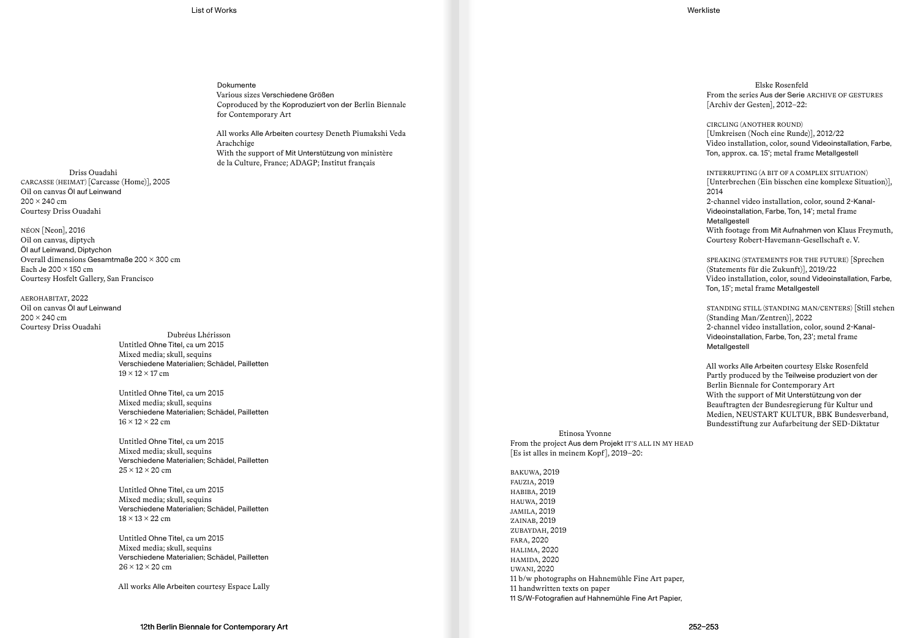List of Works Werkliste

Dokumente Various sizes Verschiedene Größen Coproduced by the Koproduziert von der Berlin Biennale for Contemporary Art

All works Alle Arbeiten courtesy Deneth Piumakshi Veda Arachchige With the support of Mit Unterstützung von ministère de la Culture, France; ADAGP; Institut français

Driss Ouadahi CARCASSE (HEIMAT) [Carcasse (Home)], 2005 Oil on canvas Öl auf Leinwand  $200 \times 240$  cm Courtesy Driss Ouadahi

NÉON [Neon], 2016 Oil on canvas, diptych Öl auf Leinwand, Diptychon Overall dimensions Gesamtmaße 200 × 300 cm Each Je  $200 \times 150$  cm Courtesy Hosfelt Gallery, San Francisco

AEROHABITAT, 2022 Oil on canvas Öl auf Leinwand  $200 \times 240$  cm Courtesy Driss Ouadahi

Dubréus Lhérisson Untitled Ohne Titel, ca um 2015 Mixed media; skull, sequins Verschiedene Materialien; Schädel, Pailletten  $19 \times 12 \times 17$  cm

Untitled Ohne Titel, ca um 2015 Mixed media; skull, sequins Verschiedene Materialien; Schädel, Pailletten  $16 \times 12 \times 22$  cm

Untitled Ohne Titel, ca um 2015 Mixed media; skull, sequins Verschiedene Materialien; Schädel, Pailletten  $25 \times 12 \times 20$  cm

Untitled Ohne Titel, ca um 2015 Mixed media; skull, sequins Verschiedene Materialien; Schädel, Pailletten  $18 \times 13 \times 22$  cm

Untitled Ohne Titel, ca um 2015 Mixed media; skull, sequins Verschiedene Materialien; Schädel, Pailletten  $26 \times 12 \times 20$  cm

All works Alle Arbeiten courtesy Espace Lally

Elske Rosenfeld From the series Aus der Serie ARCHIVE OF GESTURES [Archiv der Gesten], 2012–22:

CIRCLING (ANOTHER ROUND) [Umkreisen (Noch eine Runde)], 2012/22 Video installation, color, sound Videoinstallation, Farbe, Ton, approx. ca. 15′; metal frame Metallgestell

INTERRUPTING (A BIT OF A COMPLEX SITUATION) [Unterbrechen (Ein bisschen eine komplexe Situation)], 2014

2-channel video installation, color, sound 2-Kanal-Videoinstallation, Farbe, Ton, 14′; metal frame Metallgestell

With footage from Mit Aufnahmen von Klaus Freymuth, Courtesy Robert-Havemann-Gesellschaft e. V.

SPEAKING (STATEMENTS FOR THE FUTURE) [Sprechen (Statements für die Zukunft)], 2019/22 Video installation, color, sound Videoinstallation, Farbe, Ton, 15′; metal frame Metallgestell

STANDING STILL (STANDING MAN/CENTERS) [Still stehen (Standing Man/Zentren)], 2022 2-channel video installation, color, sound 2-Kanal-Videoinstallation, Farbe, Ton, 23′; metal frame Metallgestell

All works Alle Arbeiten courtesy Elske Rosenfeld Partly produced by the Teilweise produziert von der Berlin Biennale for Contemporary Art With the support of Mit Unterstützung von der Beauftragten der Bundesregierung für Kultur und Medien, NEUSTART KULTUR, BBK Bundesverband, Bundesstiftung zur Aufarbeitung der SED-Diktatur

Etinosa Yvonne From the project Aus dem Projekt IT'S ALL IN MY HEAD [Es ist alles in meinem Kopf], 2019–20:

BAKUWA, 2019 FAUZIA, 2019 HABIBA, 2019 HAUWA, 2019 JAMILA, 2019 ZAINAB, 2019 ZUBAYDAH, 2019 FARA, 2020 HALIMA, 2020 HAMIDA, 2020 UWANI, 2020 11 b/w photographs on Hahnemühle Fine Art paper, 11 handwritten texts on paper 11 S/W-Fotografien auf Hahnemühle Fine Art Papier,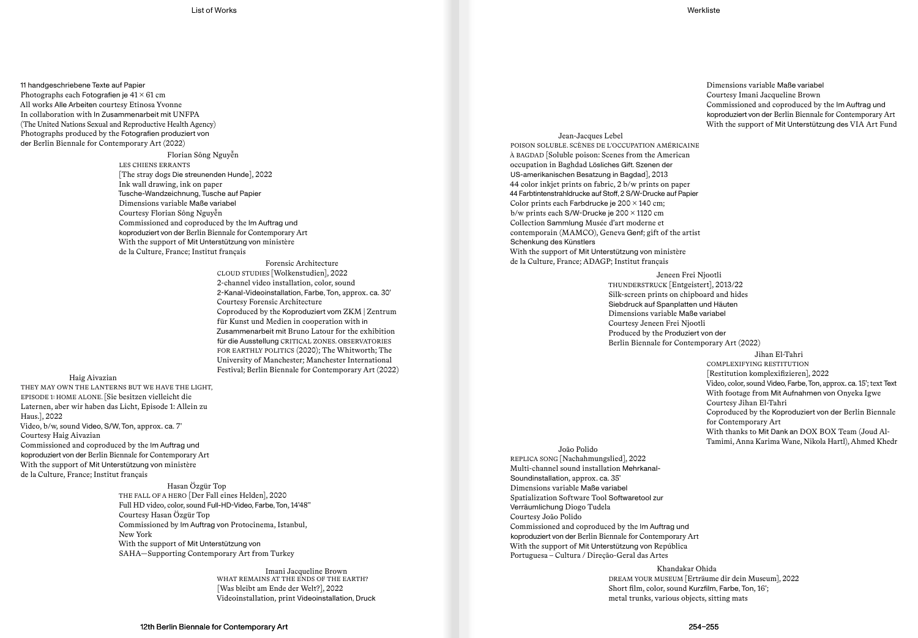11 handgeschriebene Texte auf Papier Photographs each Fotografien je  $41 \times 61$  cm All works Alle Arbeiten courtesy Etinosa Yvonne In collaboration with In Zusammenarbeit mit UNFPA (The United Nations Sexual and Reproductive Health Agency) Photographs produced by the Fotografien produziert von der Berlin Biennale for Contemporary Art (2022)

> Florian Sông Nguyễn LES CHIENS ERRANTS [The stray dogs Die streunenden Hunde], 2022 Ink wall drawing, ink on paper Tusche-Wandzeichnung, Tusche auf Papier Dimensions variable Maße variabel Courtesy Florian Sông Nguyễn Commissioned and coproduced by the Im Auftrag und koproduziert von der Berlin Biennale for Contemporary Art With the support of Mit Unterstützung von ministère de la Culture, France; Institut français

> > Forensic Architecture CLOUD STUDIES [Wolkenstudien], 2022 2-channel video installation, color, sound 2-Kanal-Videoinstallation, Farbe, Ton, approx. ca. 30′ Courtesy Forensic Architecture Coproduced by the Koproduziert vom ZKM | Zentrum für Kunst und Medien in cooperation with in Zusammenarbeit mit Bruno Latour for the exhibition für die Ausstellung CRITICAL ZONES. OBSERVATORIES FOR EARTHLY POLITICS (2020); The Whitworth; The University of Manchester; Manchester International Festival; Berlin Biennale for Contemporary Art (2022)

# Haig Aivazian

THEY MAY OWN THE LANTERNS BUT WE HAVE THE LIGHT, EPISODE 1: HOME ALONE. [Sie besitzen vielleicht die Laternen, aber wir haben das Licht, Episode 1: Allein zu Haus.], 2022 Video, b/w, sound Video, S/W, Ton, approx. ca. 7′ Courtesy Haig Aivazian Commissioned and coproduced by the Im Auftrag und koproduziert von der Berlin Biennale for Contemporary Art With the support of Mit Unterstützung von ministère de la Culture, France; Institut français Hasan Özgür Top

THE FALL OF A HERO [Der Fall eines Helden], 2020 Full HD video, color, sound Full-HD-Video, Farbe, Ton, 14′48′′ Courtesy Hasan Özgür Top Commissioned by Im Auftrag von Protocinema, Istanbul, New York With the support of Mit Unterstützung von SAHA—Supporting Contemporary Art from Turkey

> Imani Jacqueline Brown WHAT REMAINS AT THE ENDS OF THE EARTH? [Was bleibt am Ende der Welt?], 2022 Videoinstallation, print Videoinstallation, Druck

Jean-Jacques Lebel POISON SOLUBLE. SCÈNES DE L'OCCUPATION AMÉRICAINE À BAGDAD [Soluble poison: Scenes from the American occupation in Baghdad Lösliches Gift. Szenen der US-amerikanischen Besatzung in Bagdad], 2013 44 color inkjet prints on fabric, 2 b/w prints on paper 44 Farbtintenstrahldrucke auf Stoff, 2 S/W-Drucke auf Papier Color prints each Farbdrucke je  $200 \times 140$  cm; b/w prints each S/W-Drucke je 200 × 1120 cm Collection Sammlung Musée d'art moderne et contemporain (MAMCO), Geneva Genf; gift of the artist Schenkung des Künstlers With the support of Mit Unterstützung von ministère de la Culture, France; ADAGP; Institut français

Jeneen Frei Njootli

THUNDERSTRUCK [Entgeistert], 2013/22 Silk-screen prints on chipboard and hides Siebdruck auf Spanplatten und Häuten Dimensions variable Maße variabel Courtesy Jeneen Frei Njootli Produced by the Produziert von der Berlin Biennale for Contemporary Art (2022)

## Jihan El-Tahri

COMPLEXIFYING RESTITUTION [Restitution komplexifizieren], 2022 Video, color, sound Video, Farbe, Ton, approx. ca. 15′; text Text With footage from Mit Aufnahmen von Onyeka Igwe Courtesy Jihan El-Tahri Coproduced by the Koproduziert von der Berlin Biennale for Contemporary Art With thanks to Mit Dank an DOX BOX Team (Joud Al-Tamimi, Anna Karima Wane, Nikola Hartl), Ahmed Khedr

João Polido REPLICA SONG [Nachahmungslied], 2022 Multi-channel sound installation Mehrkanal-Soundinstallation, approx. ca. 35′ Dimensions variable Maße variabel Spatialization Software Tool Softwaretool zur Verräumlichung Diogo Tudela Courtesy João Polido Commissioned and coproduced by the Im Auftrag und koproduziert von der Berlin Biennale for Contemporary Art With the support of Mit Unterstützung von República Portuguesa – Cultura / Direção-Geral das Artes

> Khandakar Ohida DREAM YOUR MUSEUM [Erträume dir dein Museum], 2022 Short film, color, sound Kurzfilm, Farbe, Ton, 16′; metal trunks, various objects, sitting mats

Dimensions variable Maße variabel Courtesy Imani Jacqueline Brown Commissioned and coproduced by the Im Auftrag und

koproduziert von der Berlin Biennale for Contemporary Art With the support of Mit Unterstützung des VIA Art Fund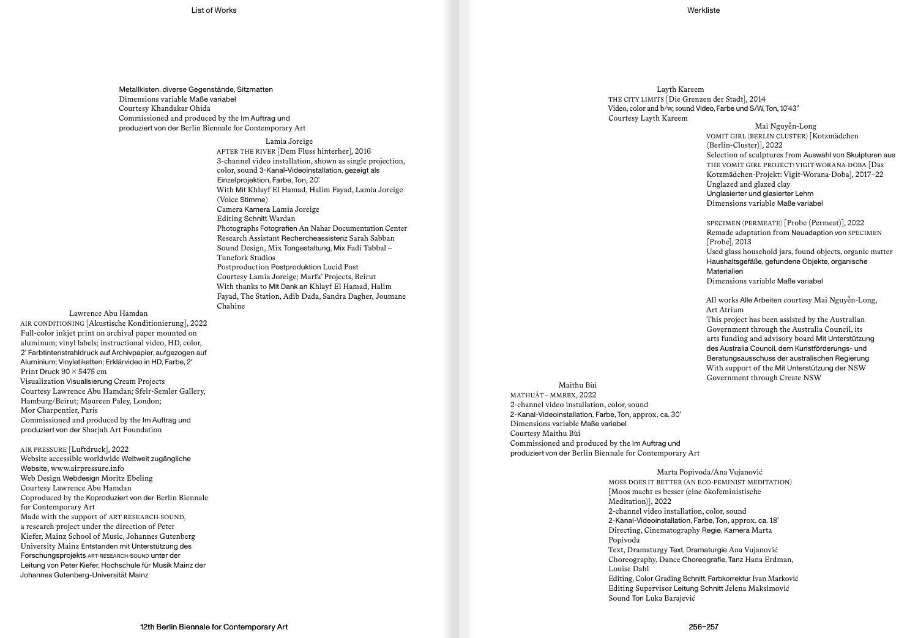Metallkisten, diverse Gegenstände, Sitzmatten Dimensions variable Maße variabel Courtesy Khandakar Ohida Commissioned and produced by the Im Auftrag und produziert von der Berlin Biennale for Contemporary Art

## Lamia Joreige

AFTER THE RIVER [Dem Fluss hinterher], 2016 3-channel video installation, shown as single projection, color, sound 3-Kanal-Videoinstallation, gezeigt als Einzelprojektion, Farbe, Ton, 20′ With Mit Khlayf El Hamad, Halim Fayad, Lamia Joreige (Voice Stimme) Camera Kamera Lamia Joreige Editing Schnitt Wardan Photographs Fotografien An Nahar Documentation Center Research Assistant Rechercheassistenz Sarah Sabban Sound Design, Mix Tongestaltung, Mix Fadi Tabbal – Tunefork Studios Postproduction Postproduktion Lucid Post Courtesy Lamia Joreige; Marfa' Projects, Beirut With thanks to Mit Dank an Khlayf El Hamad, Halim Fayad, The Station, Adib Dada, Sandra Dagher, Joumane Chahine

Lawrence Abu Hamdan AIR CONDITIONING [Akustische Konditionierung], 2022 Full-color inkjet print on archival paper mounted on aluminum; vinyl labels; instructional video, HD, color, 2′ Farbtintenstrahldruck auf Archivpapier, aufgezogen auf Aluminium; Vinyletiketten; Erklärvideo in HD, Farbe, 2′ Print Druck  $90 \times 5475$  cm Visualization Visualisierung Cream Projects Courtesy Lawrence Abu Hamdan; Sfeir-Semler Gallery, Hamburg/Beirut; Maureen Paley, London; Mor Charpentier, Paris Commissioned and produced by the Im Auftrag und produziert von der Sharjah Art Foundation

AIR PRESSURE [Luftdruck], 2022 Website accessible worldwide Weltweit zugängliche Website, www.airpressure.info Web Design Webdesign Moritz Ebeling Courtesy Lawrence Abu Hamdan Coproduced by the Koproduziert von der Berlin Biennale for Contemporary Art Made with the support of ART-RESEARCH-SOUND, a research project under the direction of Peter Kiefer, Mainz School of Music, Johannes Gutenberg University Mainz Entstanden mit Unterstützung des Forschungsprojekts ART-RESEARCH-SOUND unter der Leitung von Peter Kiefer, Hochschule für Musik Mainz der Johannes Gutenberg-Universität Mainz

Layth Kareem THE CITY LIMITS [Die Grenzen der Stadt], 2014 Video, color and b/w, sound Video, Farbe und S/W, Ton, 10′43′′ Courtesy Layth Kareem

# Mai Nguyễn-Long

VOMIT GIRL (BERLIN CLUSTER) [Kotzmädchen (Berlin-Cluster)], 2022 Selection of sculptures from Auswahl von Skulpturen aus THE VOMIT GIRL PROJECT: VIGIT-WORANA-DOBA [Das Kotzmädchen-Projekt: Vigit-Worana-Doba], 2017–22 Unglazed and glazed clay Unglasierter und glasierter Lehm Dimensions variable Maße variabel

SPECIMEN (PERMEATE) [Probe (Permeat)], 2022 Remade adaptation from Neuadaption von SPECIMEN [Probe], 2013 Used glass household jars, found objects, organic matter Haushaltsgefäße, gefundene Objekte, organische Materialien Dimensions variable Maße variabel

All works Alle Arbeiten courtesy Mai Nguyễn-Long, Art Atrium

This project has been assisted by the Australian Government through the Australia Council, its arts funding and advisory board Mit Unterstützung des Australia Council, dem Kunstförderungs- und Beratungsausschuss der australischen Regierung With support of the Mit Unterstützung der NSW Government through Create NSW

Maithu Bùi MATHUẬT – MMRBX, 2022 2-channel video installation, color, sound 2-Kanal-Videoinstallation, Farbe, Ton, approx. ca. 30′ Dimensions variable Maße variabel Courtesy Maithu Bùi Commissioned and produced by the Im Auftrag und produziert von der Berlin Biennale for Contemporary Art

> Marta Popivoda/Ana Vujanović MOSS DOES IT BETTER (AN ECO-FEMINIST MEDITATION) [Moos macht es besser (eine ökofeministische Meditation)], 2022 2-channel video installation, color, sound 2-Kanal-Videoinstallation, Farbe, Ton, approx. ca. 18′ Directing, Cinematography Regie, Kamera Marta Popivoda Text, Dramaturgy Text, Dramaturgie Ana Vujanović Choreography, Dance Choreografie, Tanz Hana Erdman, Louise Dahl Editing, Color Grading Schnitt, Farbkorrektur Ivan Marković Editing Supervisor Leitung Schnitt Jelena Maksimović Sound Ton Luka Barajević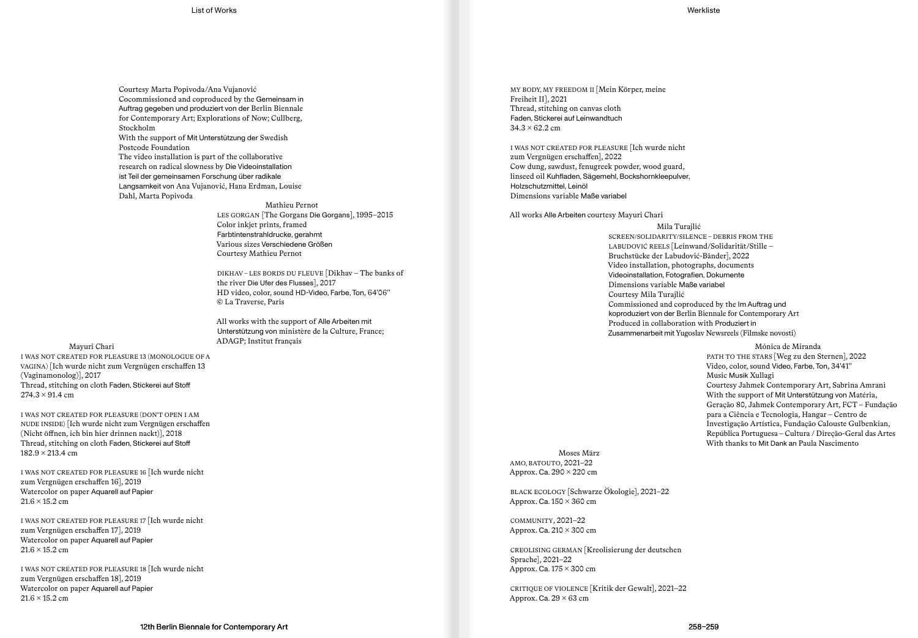Courtesy Marta Popivoda/Ana Vujanović Cocommissioned and coproduced by the Gemeinsam in Auftrag gegeben und produziert von der Berlin Biennale for Contemporary Art; Explorations of Now; Cullberg, Stockholm With the support of Mit Unterstützung der Swedish Postcode Foundation

The video installation is part of the collaborative research on radical slowness by Die Videoinstallation ist Teil der gemeinsamen Forschung über radikale Langsamkeit von Ana Vujanović, Hana Erdman, Louise Dahl, Marta Popivoda

Mathieu Pernot

LES GORGAN [The Gorgans Die Gorgans], 1995–2015 Color inkjet prints, framed Farbtintenstrahldrucke, gerahmt Various sizes Verschiedene Größen Courtesy Mathieu Pernot

DIKHAV – LES BORDS DU FLEUVE [Dikhav – The banks of the river Die Ufer des Flusses], 2017 HD video, color, sound HD-Video, Farbe, Ton, 64′06′′ © La Traverse, Paris

All works with the support of Alle Arbeiten mit Unterstützung von ministère de la Culture, France;

ADAGP; Institut français Mayuri Chari I WAS NOT CREATED FOR PLEASURE 13 (MONOLOGUE OF A VAGINA) [Ich wurde nicht zum Vergnügen erschaffen 13 (Vaginamonolog)], 2017 Thread, stitching on cloth Faden, Stickerei auf Stoff  $274.3 \times 91.4$  cm

I WAS NOT CREATED FOR PLEASURE (DON′T OPEN I AM NUDE INSIDE) [Ich wurde nicht zum Vergnügen erschaffen (Nicht öffnen, ich bin hier drinnen nackt)], 2018 Thread, stitching on cloth Faden, Stickerei auf Stoff  $182.9 \times 213.4 \text{ cm}$ 

I WAS NOT CREATED FOR PLEASURE 16 [Ich wurde nicht zum Vergnügen erschaffen 16], 2019 Watercolor on paper Aquarell auf Papier 21.6 × 15.2 cm

I WAS NOT CREATED FOR PLEASURE 17 [Ich wurde nicht zum Vergnügen erschaffen 17], 2019 Watercolor on paper Aquarell auf Papier  $21.6 \times 15.2$  cm

I WAS NOT CREATED FOR PLEASURE 18 [Ich wurde nicht zum Vergnügen erschaffen 18], 2019 Watercolor on paper Aquarell auf Papier  $21.6 \times 15.2$  cm

MY BODY, MY FREEDOM II [Mein Körper, meine Freiheit II], 2021 Thread, stitching on canvas cloth Faden, Stickerei auf Leinwandtuch  $34.3 \times 62.2$  cm

I WAS NOT CREATED FOR PLEASURE [Ich wurde nicht zum Vergnügen erschaffen], 2022 Cow dung, sawdust, fenugreek powder, wood guard, linseed oil Kuhfladen, Sägemehl, Bockshornkleepulver, Holzschutzmittel, Leinöl Dimensions variable Maße variabel

All works Alle Arbeiten courtesy Mayuri Chari

Mila Turajlić SCREEN/SOLIDARITY/SILENCE – DEBRIS FROM THE LABUDOVIĆ REELS [Leinwand/Solidarität/Stille – Bruchstücke der Labudović-Bänder], 2022 Video installation, photographs, documents Videoinstallation, Fotografien, Dokumente Dimensions variable Maße variabel Courtesy Mila Turajlić Commissioned and coproduced by the Im Auftrag und koproduziert von der Berlin Biennale for Contemporary Art Produced in collaboration with Produziert in Zusammenarbeit mit Yugoslav Newsreels (Filmske novosti)

> Mónica de Miranda PATH TO THE STARS [Weg zu den Sternen], 2022 Video, color, sound Video, Farbe, Ton, 34′41′′ Music Musik Xullagi Courtesy Jahmek Contemporary Art, Sabrina Amrani With the support of Mit Unterstützung von Matéria, Geração 80, Jahmek Contemporary Art, FCT – Fundação para a Ciência e Tecnologia, Hangar – Centro de Investigação Artística, Fundação Calouste Gulbenkian, República Portuguesa – Cultura / Direção-Geral das Artes With thanks to Mit Dank an Paula Nascimento

Moses März AMO, BATOUTO, 2021–22 Approx. Ca.  $290 \times 220$  cm

BLACK ECOLOGY [Schwarze Ökologie], 2021–22 Approx. Ca.  $150 \times 360$  cm

COMMUNITY, 2021–22 Approx. Ca.  $210 \times 300$  cm

CREOLISING GERMAN [Kreolisierung der deutschen Sprache], 2021–22 Approx. Ca.  $175 \times 300$  cm

CRITIQUE OF VIOLENCE [Kritik der Gewalt], 2021–22 Approx. Ca.  $29 \times 63$  cm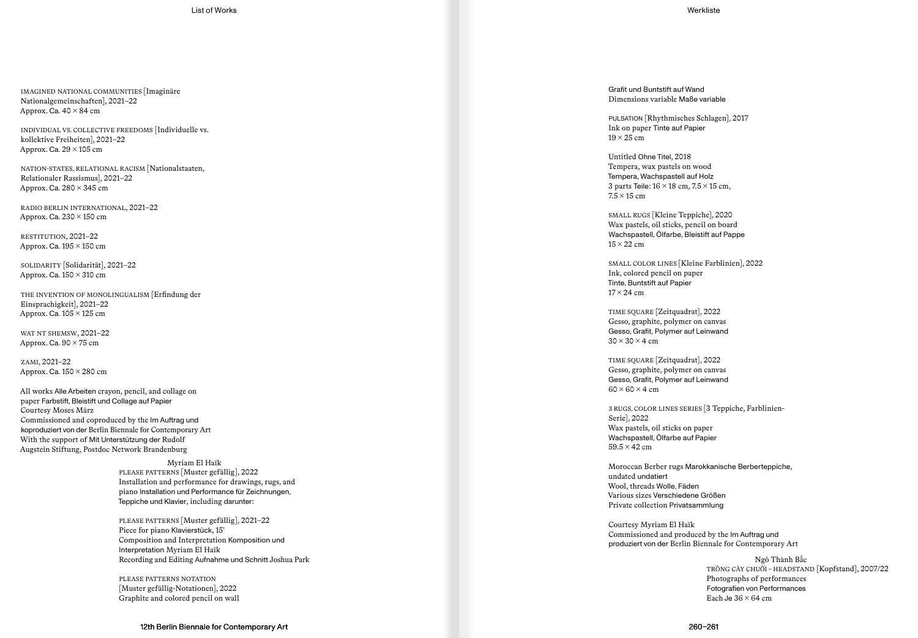IMAGINED NATIONAL COMMUNITIES [Imaginäre Nationalgemeinschaften], 2021–22 Approx. Ca.  $40 \times 84$  cm

INDIVIDUAL VS. COLLECTIVE FREEDOMS [Individuelle vs. kollektive Freiheiten], 2021–22 Approx. Ca.  $29 \times 105$  cm

NATION-STATES, RELATIONAL RACISM [Nationalstaaten, Relationaler Rassismus], 2021–22 Approx. Ca.  $280 \times 345$  cm

RADIO BERLIN INTERNATIONAL, 2021–22 Approx. Ca.  $230 \times 150$  cm

RESTITUTION, 2021–22 Approx. Ca.  $195 \times 150$  cm

SOLIDARITY [Solidarität], 2021–22 Approx. Ca. 150 × 310 cm

THE INVENTION OF MONOLINGUALISM [Erfindung der Einsprachigkeit], 2021–22 Approx. Ca.  $105 \times 125$  cm

WAT NT SHEMSW, 2021–22 Approx. Ca.  $90 \times 75$  cm

ZAMI, 2021–22 Approx. Ca.  $150 \times 280$  cm

All works Alle Arbeiten crayon, pencil, and collage on paper Farbstift, Bleistift und Collage auf Papier Courtesy Moses März Commissioned and coproduced by the Im Auftrag und koproduziert von der Berlin Biennale for Contemporary Art With the support of Mit Unterstützung der Rudolf Augstein Stiftung, Postdoc Network Brandenburg

> Myriam El Haïk PLEASE PATTERNS [Muster gefällig], 2022 Installation and performance for drawings, rugs, and piano Installation und Performance für Zeichnungen, Teppiche und Klavier, including darunter:

PLEASE PATTERNS [Muster gefällig], 2021–22 Piece for piano Klavierstück, 15′ Composition and Interpretation Komposition und Interpretation Myriam El Haïk Recording and Editing Aufnahme und Schnitt Joshua Park

PLEASE PATTERNS NOTATION [Muster gefällig-Notationen], 2022 Graphite and colored pencil on wall

Grafit und Buntstift auf Wand Dimensions variable Maße variable

PULSATION [Rhythmisches Schlagen], 2017 Ink on paper Tinte auf Papier  $19 \times 25$  cm

Untitled Ohne Titel, 2018 Tempera, wax pastels on wood Tempera, Wachspastell auf Holz 3 parts Teile: 16 × 18 cm, 7.5 × 15 cm,  $7.5 \times 15$  cm

SMALL RUGS [Kleine Teppiche], 2020 Wax pastels, oil sticks, pencil on board Wachspastell, Ölfarbe, Bleistift auf Pappe  $15 \times 22$  cm

SMALL COLOR LINES [Kleine Farblinien], 2022 Ink, colored pencil on paper Tinte, Buntstift auf Papier  $17 \times 24$  cm

TIME SQUARE [Zeitquadrat], 2022 Gesso, graphite, polymer on canvas Gesso, Grafit, Polymer auf Leinwand  $30 \times 30 \times 4$  cm

TIME SQUARE [Zeitquadrat], 2022 Gesso, graphite, polymer on canvas Gesso, Grafit, Polymer auf Leinwand  $60 \times 60 \times 4$  cm

3 RUGS, COLOR LINES SERIES [3 Teppiche, Farblinien-Serie], 2022 Wax pastels, oil sticks on paper Wachspastell, Ölfarbe auf Papier  $59.5 \times 42$  cm

Moroccan Berber rugs Marokkanische Berberteppiche, undated undatiert Wool, threads Wolle, Fäden Various sizes Verschiedene Größen Private collection Privatsammlung

Courtesy Myriam El Haïk Commissioned and produced by the Im Auftrag und produziert von der Berlin Biennale for Contemporary Art

> Ngô Thành B ắ c TR ỒNG CÂY CHU ỐI – HEADSTAND [Kopfstand], 2007/22 Photographs of performances Fotografien von Performances Each Je  $36 \times 64$  cm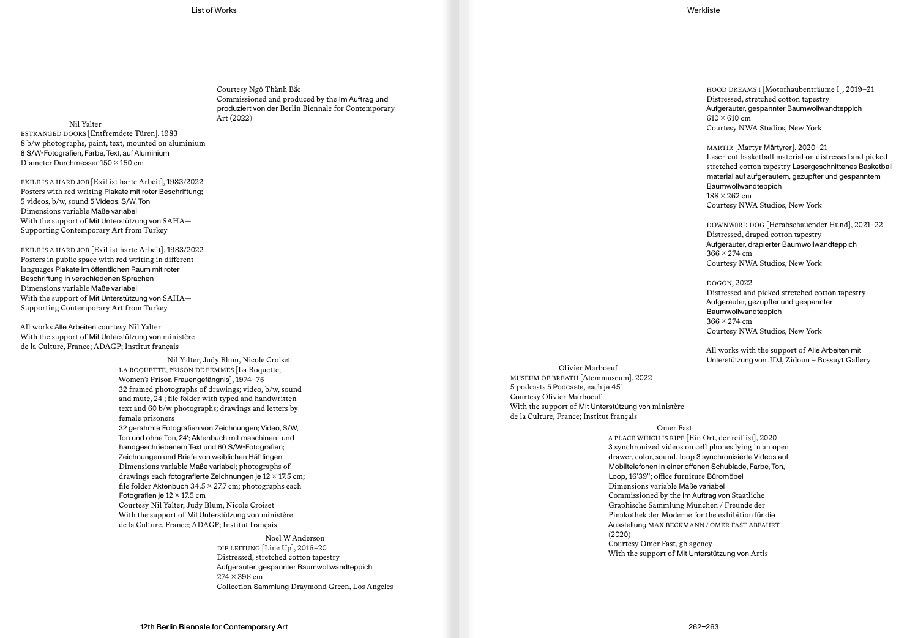Courtesy Ngô Thành Bắc Commissioned and produced by the Im Auftrag und produziert von der Berlin Biennale for Contemporary

Art (2022) Nil Yalter ESTRANGED DOORS [Entfremdete Türen], 1983 8 b/w photographs, paint, text, mounted on aluminium 8 S/W-Fotografien, Farbe, Text, auf Aluminium Diameter Durchmesser 150 × 150 cm

EXILE IS A HARD JOB [Exil ist harte Arbeit], 1983/2022 Posters with red writing Plakate mit roter Beschriftung; 5 videos, b/w, sound 5 Videos, S/W, Ton Dimensions variable Maße variabel With the support of Mit Unterstützung von SAHA— Supporting Contemporary Art from Turkey

EXILE IS A HARD JOB [Exil ist harte Arbeit], 1983/2022 Posters in public space with red writing in different languages Plakate im öffentlichen Raum mit roter Beschriftung in verschiedenen Sprachen Dimensions variable Maße variabel With the support of Mit Unterstützung von SAHA— Supporting Contemporary Art from Turkey

All works Alle Arbeiten courtesy Nil Yalter With the support of Mit Unterstützung von ministère de la Culture, France; ADAGP; Institut français

> Nil Yalter, Judy Blum, Nicole Croiset LA ROQUETTE, PRISON DE FEMMES [La Roquette, Women's Prison Frauengefängnis], 1974–75 32 framed photographs of drawings; video, b/w, sound and mute, 24′; file folder with typed and handwritten text and 60 b/w photographs; drawings and letters by female prisoners 32 gerahmte Fotografien von Zeichnungen; Video, S/W,

Ton und ohne Ton, 24′; Aktenbuch mit maschinen- und handgeschriebenem Text und 60 S/W-Fotografien; Zeichnungen und Briefe von weiblichen Häftlingen Dimensions variable Maße variabel; photographs of drawings each fotografierte Zeichnungen je 12 × 17.5 cm; file folder Aktenbuch  $34.5 \times 27.7$  cm; photographs each Fotografien je  $12 \times 17.5$  cm Courtesy Nil Yalter, Judy Blum, Nicole Croiset With the support of Mit Unterstützung von ministère de la Culture, France; ADAGP; Institut français

> Noel W Anderson DIE LEITUNG [Line Up], 2016–20 Distressed, stretched cotton tapestry Aufgerauter, gespannter Baumwollwandteppich  $274 \times 396$  cm Collection Sammlung Draymond Green, Los Angeles

HOOD DREAMS I [Motorhaubenträume I], 2019–21 Distressed, stretched cotton tapestry Aufgerauter, gespannter Baumwollwandteppich  $610 \times 610$  cm Courtesy NWA Studios, New York

MARTIR [Martyr Märtyrer], 2020–21 Laser-cut basketball material on distressed and picked stretched cotton tapestry Lasergeschnittenes Basketballmaterial auf aufgerautem, gezupfter und gespanntem Baumwollwandteppich 188 × 262 cm Courtesy NWA Studios, New York

DOWNW0RD DOG [Herabschauender Hund], 2021–22 Distressed, draped cotton tapestry Aufgerauter, drapierter Baumwollwandteppich  $366 \times 274$  cm Courtesy NWA Studios, New York

DOGON, 2022 Distressed and picked stretched cotton tapestry Aufgerauter, gezupfter und gespannter Baumwollwandteppich  $366 \times 274$  cm Courtesy NWA Studios, New York

All works with the support of Alle Arbeiten mit Unterstützung von JDJ, Zidoun – Bossuyt Gallery

Olivier Marboeuf MUSEUM OF BREATH [Atemmuseum], 2022 5 podcasts 5 Podcasts, each je 45′ Courtesy Olivier Marboeuf With the support of Mit Unterstützung von ministère de la Culture, France; Institut français

> Omer Fast A PLACE WHICH IS RIPE [Ein Ort, der reif ist], 2020 3 synchronized videos on cell phones lying in an open drawer, color, sound, loop 3 synchronisierte Videos auf Mobiltelefonen in einer offenen Schublade, Farbe, Ton, Loop, 16′39′′; office furniture Büromöbel Dimensions variable Maße variabel Commissioned by the Im Auftrag von Staatliche Graphische Sammlung München / Freunde der Pinakothek der Moderne for the exhibition für die Ausstellung MAX BECKMANN / OMER FAST ABFAHRT (2020) Courtesy Omer Fast, gb agency With the support of Mit Unterstützung von Artis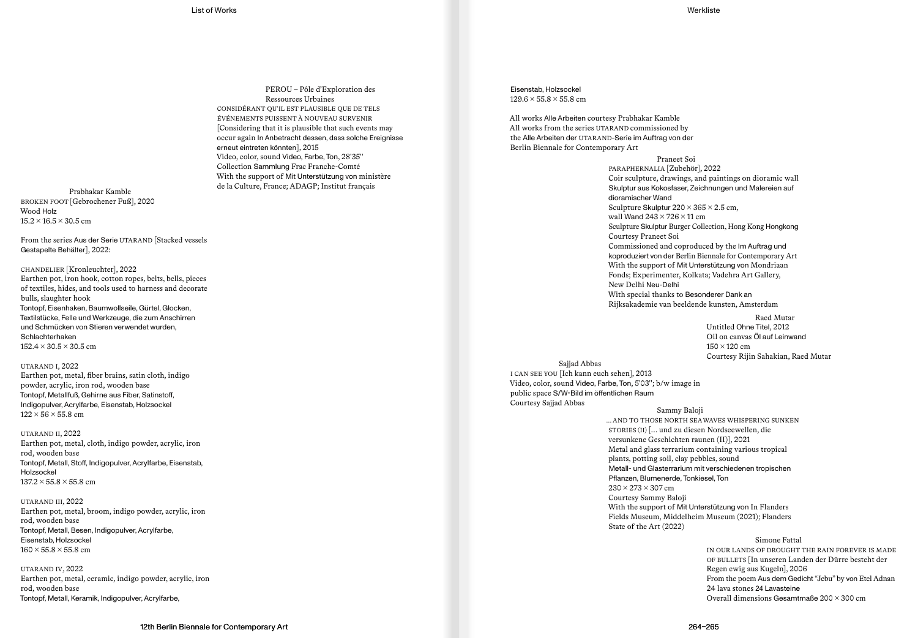PEROU – Pôle d'Exploration des Ressources Urbaines CONSIDÉRANT QU'IL EST PLAUSIBLE QUE DE TELS ÉVÉNEMENTS PUISSENT À NOUVEAU SURVENIR [Considering that it is plausible that such events may occur again In Anbetracht dessen, dass solche Ereignisse erneut eintreten könnten], 2015 Video, color, sound Video, Farbe, Ton, 28′35′′ Collection Sammlung Frac Franche-Comté With the support of Mit Unterstützung von ministère de la Culture, France; ADAGP; Institut français Prabhakar Kamble

BROKEN FOOT [Gebrochener Fuß], 2020 Wood Holz  $15.2 \times 16.5 \times 30.5$  cm

From the series Aus der Serie UTARAND [Stacked vessels Gestapelte Behälter], 2022:

CHANDELIER [Kronleuchter], 2022 Earthen pot, iron hook, cotton ropes, belts, bells, pieces of textiles, hides, and tools used to harness and decorate bulls, slaughter hook Tontopf, Eisenhaken, Baumwollseile, Gürtel, Glocken, Textilstücke, Felle und Werkzeuge, die zum Anschirren und Schmücken von Stieren verwendet wurden, Schlachterhaken  $152.4 \times 30.5 \times 30.5$  cm

UTARAND I, 2022 Earthen pot, metal, fiber brains, satin cloth, indigo powder, acrylic, iron rod, wooden base Tontopf, Metallfuß, Gehirne aus Fiber, Satinstoff, Indigopulver, Acrylfarbe, Eisenstab, Holzsockel  $122 \times 56 \times 55.8$  cm

UTARAND II, 2022 Earthen pot, metal, cloth, indigo powder, acrylic, iron rod, wooden base Tontopf, Metall, Stoff, Indigopulver, Acrylfarbe, Eisenstab, Holzsockel  $137.2 \times 55.8 \times 55.8$  cm

UTARAND III, 2022 Earthen pot, metal, broom, indigo powder, acrylic, iron rod, wooden base Tontopf, Metall, Besen, Indigopulver, Acrylfarbe, Eisenstab, Holzsockel  $160 \times 55.8 \times 55.8$  cm

UTARAND IV, 2022 Earthen pot, metal, ceramic, indigo powder, acrylic, iron rod, wooden base Tontopf, Metall, Keramik, Indigopulver, Acrylfarbe,

Eisenstab, Holzsockel  $129.6 \times 55.8 \times 55.8$  cm

All works Alle Arbeiten courtesy Prabhakar Kamble All works from the series UTARAND commissioned by the Alle Arbeiten der UTARAND-Serie im Auftrag von der Berlin Biennale for Contemporary Art

> Praneet Soi PARAPHERNALIA [Zubehör], 2022 Coir sculpture, drawings, and paintings on dioramic wall Skulptur aus Kokosfaser, Zeichnungen und Malereien auf dioramischer Wand Sculpture Skulptur  $220 \times 365 \times 2.5$  cm, wall Wand  $243 \times 726 \times 11$  cm Sculpture Skulptur Burger Collection, Hong Kong Hongkong Courtesy Praneet Soi Commissioned and coproduced by the Im Auftrag und koproduziert von der Berlin Biennale for Contemporary Art With the support of Mit Unterstützung von Mondriaan Fonds; Experimenter, Kolkata; Vadehra Art Gallery, New Delhi Neu-Delhi With special thanks to Besonderer Dank an Rijksakademie van beeldende kunsten, Amsterdam

> > Raed Mutar Untitled Ohne Titel, 2012 Oil on canvas Öl auf Leinwand 150 × 120 cm Courtesy Rijin Sahakian, Raed Mutar

Sajjad Abbas I CAN SEE YOU [Ich kann euch sehen], 2013 Video, color, sound Video, Farbe, Ton, 5′03′′; b/w image in public space S/W-Bild im öffentlichen Raum Courtesy Sajjad Abbas

Sammy Baloji ... AND TO THOSE NORTH SEA WAVES WHISPERING SUNKEN STORIES (II) [… und zu diesen Nordseewellen, die versunkene Geschichten raunen (II)], 2021 Metal and glass terrarium containing various tropical plants, potting soil, clay pebbles, sound Metall- und Glasterrarium mit verschiedenen tropischen Pflanzen, Blumenerde, Tonkiesel, Ton 230 × 273 × 307 cm Courtesy Sammy Baloji With the support of Mit Unterstützung von In Flanders Fields Museum, Middelheim Museum (2021); Flanders State of the Art (2022)

# Simone Fattal

IN OUR LANDS OF DROUGHT THE RAIN FOREVER IS MADE OF BULLETS [In unseren Landen der Dürre besteht der Regen ewig aus Kugeln], 2006 From the poem Aus dem Gedicht "Jebu" by von Etel Adnan 24 lava stones 24 Lavasteine Overall dimensions Gesamtmaße 200 × 300 cm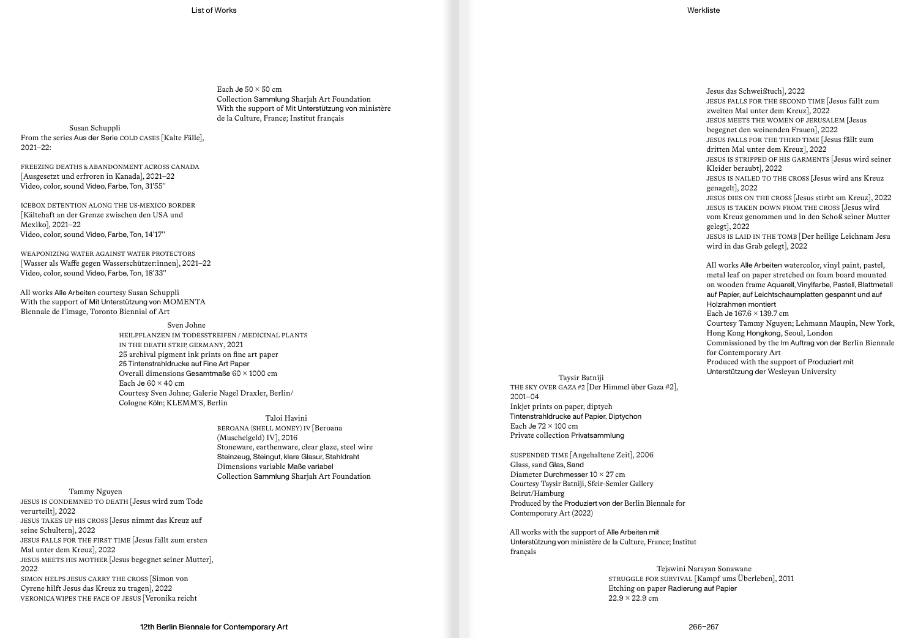Each Je  $50 \times 50$  cm Collection Sammlung Sharjah Art Foundation With the support of Mit Unterstützung von ministère de la Culture, France; Institut français

Susan Schuppli From the series Aus der Serie COLD CASES [Kalte Fälle], 2021–22:

FREEZING DEATHS & ABANDONMENT ACROSS CANADA [Ausgesetzt und erfroren in Kanada], 2021–22 Video, color, sound Video, Farbe, Ton, 31′55′′

ICEBOX DETENTION ALONG THE US-MEXICO BORDER [Kältehaft an der Grenze zwischen den USA und Mexiko], 2021–22 Video, color, sound Video, Farbe, Ton, 14′17′′

WEAPONIZING WATER AGAINST WATER PROTECTORS [Wasser als Waffe gegen Wasserschützer:innen], 2021–22 Video, color, sound Video, Farbe, Ton, 18′33′′

All works Alle Arbeiten courtesy Susan Schuppli With the support of Mit Unterstützung von MOMENTA Biennale de I'image, Toronto Biennial of Art

> Sven Johne HEILPFLANZEN IM TODESSTREIFEN / MEDICINAL PLANTS IN THE DEATH STRIP, GERMANY, 2021 25 archival pigment ink prints on fine art paper 25 Tintenstrahldrucke auf Fine Art Paper Overall dimensions Gesamtmaße 60 × 1000 cm Each Je  $60 \times 40$  cm Courtesy Sven Johne; Galerie Nagel Draxler, Berlin/ Cologne Köln; KLEMM'S, Berlin

> > Taloi Havini BEROANA (SHELL MONEY) IV [Beroana (Muschelgeld) IV], 2016 Stoneware, earthenware, clear glaze, steel wire Steinzeug, Steingut, klare Glasur, Stahldraht Dimensions variable Maße variabel Collection Sammlung Sharjah Art Foundation

Tammy Nguyen JESUS IS CONDEMNED TO DEATH [Jesus wird zum Tode verurteilt], 2022 JESUS TAKES UP HIS CROSS [Jesus nimmt das Kreuz auf seine Schultern], 2022 JESUS FALLS FOR THE FIRST TIME [Jesus fällt zum ersten Mal unter dem Kreuz], 2022 JESUS MEETS HIS MOTHER [Jesus begegnet seiner Mutter], 2022 SIMON HELPS JESUS CARRY THE CROSS [Simon von Cyrene hilft Jesus das Kreuz zu tragen], 2022 VERONICA WIPES THE FACE OF JESUS [Veronika reicht

JESUS FALLS FOR THE SECOND TIME [Jesus fällt zum zweiten Mal unter dem Kreuz], 2022 JESUS MEETS THE WOMEN OF JERUSALEM [Jesus begegnet den weinenden Frauen], 2022 JESUS FALLS FOR THE THIRD TIME [Jesus fällt zum dritten Mal unter dem Kreuz], 2022 JESUS IS STRIPPED OF HIS GARMENTS [Jesus wird seiner Kleider beraubt], 2022 JESUS IS NAILED TO THE CROSS [Jesus wird ans Kreuz genagelt], 2022 JESUS DIES ON THE CROSS [Jesus stirbt am Kreuz], 2022 JESUS IS TAKEN DOWN FROM THE CROSS [Jesus wird vom Kreuz genommen und in den Schoß seiner Mutter gelegt], 2022 JESUS IS LAID IN THE TOMB [Der heilige Leichnam Jesu wird in das Grab gelegt], 2022 All works Alle Arbeiten watercolor, vinyl paint, pastel,

Jesus das Schweißtuch], 2022

metal leaf on paper stretched on foam board mounted on wooden frame Aquarell, Vinylfarbe, Pastell, Blattmetall auf Papier, auf Leichtschaumplatten gespannt und auf Holzrahmen montiert Each Je 167.6 × 139.7 cm Courtesy Tammy Nguyen; Lehmann Maupin, New York, Hong Kong Hongkong, Seoul, London Commissioned by the Im Auftrag von der Berlin Biennale for Contemporary Art Produced with the support of Produziert mit Unterstützung der Wesleyan University

Taysir Batniji THE SKY OVER GAZA #2 [Der Himmel über Gaza #2], 2001–04 Inkjet prints on paper, diptych Tintenstrahldrucke auf Papier, Diptychon Each Je  $72 \times 100$  cm Private collection Privatsammlung

SUSPENDED TIME [Angehaltene Zeit], 2006 Glass, sand Glas, Sand Diameter Durchmesser 10 × 27 cm Courtesy Taysir Batniji, Sfeir-Semler Gallery Beirut/Hamburg Produced by the Produziert von der Berlin Biennale for Contemporary Art (2022)

All works with the support of Alle Arbeiten mit Unterstützung von ministère de la Culture, France; Institut français

> Tejswini Narayan Sonawane STRUGGLE FOR SURVIVAL [Kampf ums Überleben], 2011 Etching on paper Radierung auf Papier  $22.9 \times 22.9$  cm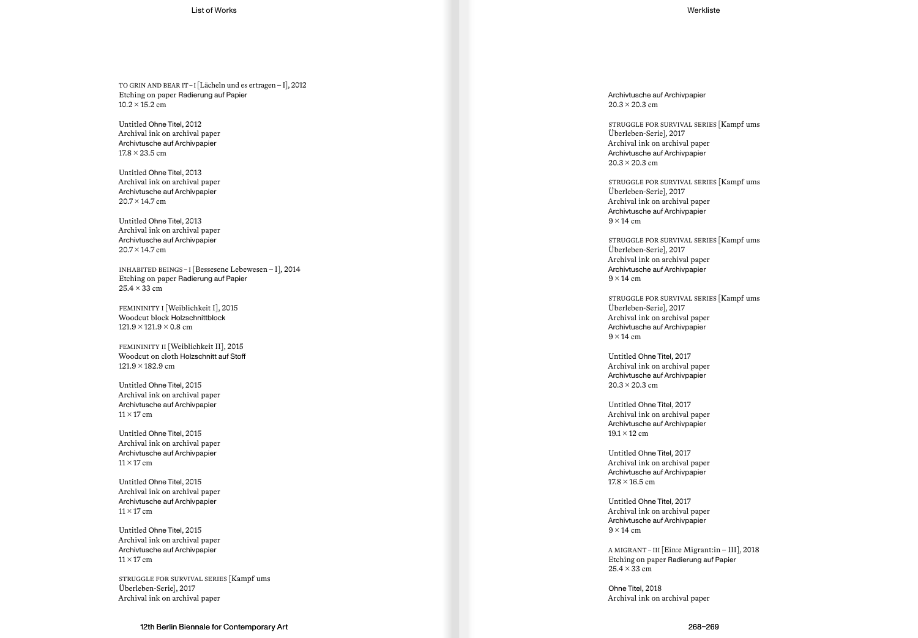TO GRIN AND BEAR IT – I [Lächeln und es ertragen – I], 2012 Etching on paper Radierung auf Papier  $10.2 \times 15.2$  cm

Untitled Ohne Titel, 2012 Archival ink on archival paper Archivtusche auf Archivpapier  $17.8 \times 23.5$  cm

Untitled Ohne Titel, 2013 Archival ink on archival paper Archivtusche auf Archivpapier  $20.7 \times 14.7$  cm

Untitled Ohne Titel, 2013 Archival ink on archival paper Archivtusche auf Archivpapier  $20.7 \times 14.7$  cm

INHABITED BEINGS – I [Bessesene Lebewesen – I], 2014 Etching on paper Radierung auf Papier 25.4 × 33 cm

FEMININITY I [Weiblichkeit I], 2015 Woodcut block Holzschnittblock  $121.9 \times 121.9 \times 0.8$  cm

FEMININITY II [Weiblichkeit II], 2015 Woodcut on cloth Holzschnitt auf Stoff  $121.9 \times 182.9$  cm

Untitled Ohne Titel, 2015 Archival ink on archival paper Archivtusche auf Archivpapier  $11 \times 17$  cm

Untitled Ohne Titel, 2015 Archival ink on archival paper Archivtusche auf Archivpapier  $11 \times 17$  cm

Untitled Ohne Titel, 2015 Archival ink on archival paper Archivtusche auf Archivpapier  $11 \times 17$  cm

Untitled Ohne Titel, 2015 Archival ink on archival paper Archivtusche auf Archivpapier  $11 \times 17$  cm

STRUGGLE FOR SURVIVAL SERIES [Kampf ums Überleben-Serie], 2017 Archival ink on archival paper

Archivtusche auf Archivpapier  $20.3 \times 20.3$  cm

STRUGGLE FOR SURVIVAL SERIES [Kampf ums Überleben-Serie], 2017 Archival ink on archival paper Archivtusche auf Archivpapier  $20.3 \times 20.3$  cm

STRUGGLE FOR SURVIVAL SERIES [Kampf ums Überleben-Serie], 2017 Archival ink on archival paper Archivtusche auf Archivpapier  $9 \times 14$  cm

STRUGGLE FOR SURVIVAL SERIES [Kampf ums Überleben-Serie], 2017 Archival ink on archival paper Archivtusche auf Archivpapier  $9 \times 14$  cm

STRUGGLE FOR SURVIVAL SERIES [Kampf ums Überleben-Serie], 2017 Archival ink on archival paper Archivtusche auf Archivpapier  $9 \times 14$  cm

Untitled Ohne Titel, 2017 Archival ink on archival paper Archivtusche auf Archivpapier  $20.3 \times 20.3$  cm

Untitled Ohne Titel, 2017 Archival ink on archival paper Archivtusche auf Archivpapier  $19.1 \times 12$  cm

Untitled Ohne Titel, 2017 Archival ink on archival paper Archivtusche auf Archivpapier  $17.8 \times 16.5$  cm

Untitled Ohne Titel, 2017 Archival ink on archival paper Archivtusche auf Archivpapier  $9 \times 14$  cm

A MIGRANT – III [Ein:e Migrant:in – III], 2018 Etching on paper Radierung auf Papier  $25.4 \times 33$  cm

Ohne Titel, 2018 Archival ink on archival paper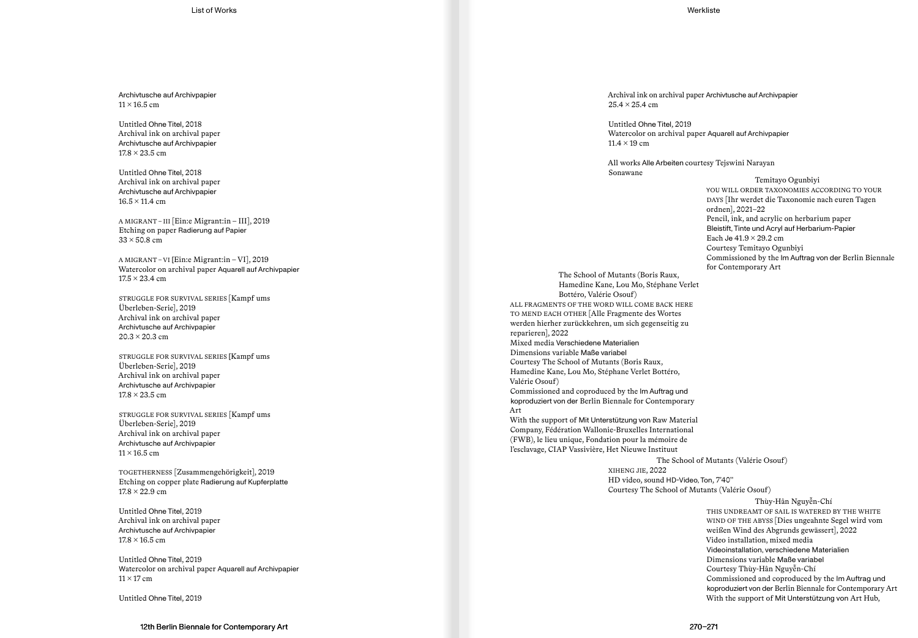Archivtusche auf Archivpapier  $11 \times 16.5$  cm

Untitled Ohne Titel, 2018 Archival ink on archival paper Archivtusche auf Archivpapier  $17.8 \times 23.5$  cm

Untitled Ohne Titel, 2018 Archival ink on archival paper Archivtusche auf Archivpapier  $16.5 \times 11.4 \text{ cm}$ 

A MIGRANT – III [Ein:e Migrant:in – III], 2019 Etching on paper Radierung auf Papier  $33 \times 50.8$  cm

A MIGRANT – VI [Ein:e Migrant:in – VI], 2019 Watercolor on archival paper Aquarell auf Archivpapier  $17.5 \times 23.4 \text{ cm}$ 

STRUGGLE FOR SURVIVAL SERIES [Kampf ums Überleben-Serie], 2019 Archival ink on archival paper Archivtusche auf Archivpapier  $20.3 \times 20.3$  cm

STRUGGLE FOR SURVIVAL SERIES [Kampf ums Überleben-Serie], 2019 Archival ink on archival paper Archivtusche auf Archivpapier  $17.8 \times 23.5$  cm

STRUGGLE FOR SURVIVAL SERIES [Kampf ums Überleben-Serie], 2019 Archival ink on archival paper Archivtusche auf Archivpapier  $11 \times 16.5$  cm

TOGETHERNESS [Zusammengehörigkeit], 2019 Etching on copper plate Radierung auf Kupferplatte  $17.8 \times 22.9$  cm

Untitled Ohne Titel, 2019 Archival ink on archival paper Archivtusche auf Archivpapier  $17.8 \times 16.5$  cm

Untitled Ohne Titel, 2019 Watercolor on archival paper Aquarell auf Archivpapier  $11 \times 17$  cm

Untitled Ohne Titel, 2019

Archival ink on archival paper Archivtusche auf Archivpapier  $25.4 \times 25.4$  cm

Untitled Ohne Titel, 2019 Watercolor on archival paper Aquarell auf Archivpapier  $11.4 \times 19$  cm

All works Alle Arbeiten courtesy Tejswini Narayan Sonawane

> Temitayo Ogunbiyi YOU WILL ORDER TAXONOMIES ACCORDING TO YOUR DAYS [Ihr werdet die Taxonomie nach euren Tagen ordnen], 2021–22 Pencil, ink, and acrylic on herbarium paper Bleistift, Tinte und Acryl auf Herbarium-Papier Each Je  $41.9 \times 29.2$  cm Courtesy Temitayo Ogunbiyi Commissioned by the Im Auftrag von der Berlin Biennale for Contemporary Art

The School of Mutants (Boris Raux, Hamedine Kane, Lou Mo, Stéphane Verlet Bottéro, Valérie Osouf) ALL FRAGMENTS OF THE WORD WILL COME BACK HERE TO MEND EACH OTHER [Alle Fragmente des Wortes werden hierher zurückkehren, um sich gegenseitig zu reparieren], 2022 Mixed media Verschiedene Materialien Dimensions variable Maße variabel Courtesy The School of Mutants (Boris Raux, Hamedine Kane, Lou Mo, Stéphane Verlet Bottéro, Valérie Osouf) Commissioned and coproduced by the Im Auftrag und koproduziert von der Berlin Biennale for Contemporary Art With the support of Mit Unterstützung von Raw Material Company, Fédération Wallonie-Bruxelles International (FWB), le lieu unique, Fondation pour la mémoire de l'esclavage, CIAP Vassivière, Het Nieuwe Instituut The School of Mutants (Valérie Osouf)

XIHENG JIE, 2022 HD video, sound HD-Video, Ton, 7′40′′ Courtesy The School of Mutants (Valérie Osouf)

Thùy-Hân Nguyễn-Chí THIS UNDREAMT OF SAIL IS WATERED BY THE WHITE WIND OF THE ABYSS [Dies ungeahnte Segel wird vom weißen Wind des Abgrunds gewässert], 2022 Video installation, mixed media Videoinstallation, verschiedene Materialien Dimensions variable Maße variabel Courtesy Thùy-Hân Nguyễn-Chí Commissioned and coproduced by the Im Auftrag und koproduziert von der Berlin Biennale for Contemporary Art With the support of Mit Unterstützung von Art Hub,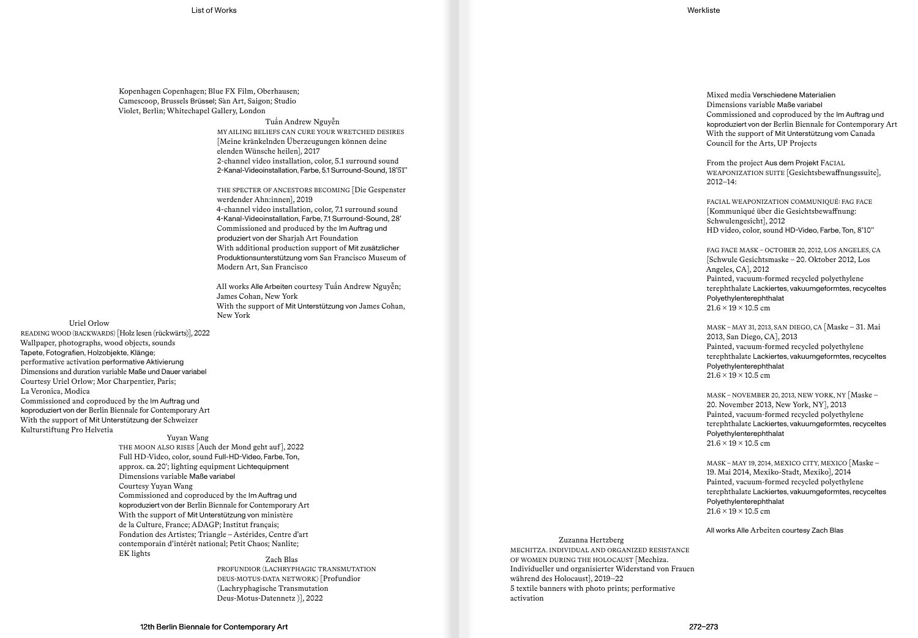Kopenhagen Copenhagen; Blue FX Film, Oberhausen; Camescoop, Brussels Brüssel; Sàn Art, Saigon; Studio Violet, Berlin; Whitechapel Gallery, London

> Tuấn Andrew Nguyễn MY AILING BELIEFS CAN CURE YOUR WRETCHED DESIRES [Meine kränkelnden Überzeugungen können deine elenden Wünsche heilen], 2017 2-channel video installation, color, 5.1 surround sound 2-Kanal-Videoinstallation, Farbe, 5.1 Surround-Sound, 18′51′′

> THE SPECTER OF ANCESTORS BECOMING [Die Gespenster werdender Ahn:innen], 2019 4-channel video installation, color, 7.1 surround sound 4-Kanal-Videoinstallation, Farbe, 7.1 Surround-Sound, 28′ Commissioned and produced by the Im Auftrag und produziert von der Sharjah Art Foundation With additional production support of Mit zusätzlicher Produktionsunterstützung vom San Francisco Museum of Modern Art, San Francisco

> All works Alle Arbeiten courtesy Tuấn Andrew Nguyễn; James Cohan, New York With the support of Mit Unterstützung von James Cohan, New York

#### Uriel Orlow

READING WOOD (BACKWARDS) [Holz lesen (rückwärts)], 2022 Wallpaper, photographs, wood objects, sounds Tapete, Fotografien, Holzobjekte, Klänge; performative activation performative Aktivierung Dimensions and duration variable Maße und Dauer variabel Courtesy Uriel Orlow; Mor Charpentier, Paris; La Veronica, Modica Commissioned and coproduced by the Im Auftrag und koproduziert von der Berlin Biennale for Contemporary Art With the support of Mit Unterstützung der Schweizer Kulturstiftung Pro Helvetia

Yuyan Wang

THE MOON ALSO RISES [Auch der Mond geht auf], 2022 Full HD-Video, color, sound Full-HD-Video, Farbe, Ton, approx. ca. 20′; lighting equipment Lichtequipment Dimensions variable Maße variabel Courtesy Yuyan Wang Commissioned and coproduced by the Im Auftrag und koproduziert von der Berlin Biennale for Contemporary Art With the support of Mit Unterstützung von ministère de la Culture, France; ADAGP; Institut français; Fondation des Artistes; Triangle – Astérides, Centre d'art contemporain d'intérêt national; Petit Chaos; Nanlite; EK lights

Zach Blas PROFUNDIOR (LACHRYPHAGIC TRANSMUTATION DEUS-MOTUS-DATA NETWORK) [Profundior (Lachryphagische Transmutation Deus-Motus-Datennetz )], 2022

Mixed media Verschiedene Materialien Dimensions variable Maße variabel Commissioned and coproduced by the Im Auftrag und koproduziert von der Berlin Biennale for Contemporary Art With the support of Mit Unterstützung vom Canada Council for the Arts, UP Projects

From the project Aus dem Projekt FACIAL WEAPONIZATION SUITE [Gesichtsbewaffnungssuite], 2012–14:

FACIAL WEAPONIZATION COMMUNIQUÉ: FAG FACE [Kommuniqué über die Gesichtsbewaffnung: Schwulengesicht], 2012 HD video, color, sound HD-Video, Farbe, Ton, 8′10′′

# FAG FACE MASK – OCTOBER 20, 2012, LOS ANGELES, CA [Schwule Gesichtsmaske – 20. Oktober 2012, Los Angeles, CA], 2012 Painted, vacuum-formed recycled polyethylene terephthalate Lackiertes, vakuumgeformtes, recyceltes Polyethylenterephthalat  $21.6 \times 19 \times 10.5$  cm

# MASK – MAY 31, 2013, SAN DIEGO, CA [Maske – 31. Mai 2013, San Diego, CA], 2013 Painted, vacuum-formed recycled polyethylene terephthalate Lackiertes, vakuumgeformtes, recyceltes Polyethylenterephthalat  $21.6 \times 19 \times 10.5$  cm

MASK – NOVEMBER 20, 2013, NEW YORK, NY [Maske – 20. November 2013, New York, NY], 2013 Painted, vacuum-formed recycled polyethylene terephthalate Lackiertes, vakuumgeformtes, recyceltes Polyethylenterephthalat  $21.6 \times 19 \times 10.5$  cm

MASK – MAY 19, 2014, MEXICO CITY, MEXICO [Maske – 19. Mai 2014, Mexiko-Stadt, Mexiko], 2014 Painted, vacuum-formed recycled polyethylene terephthalate Lackiertes, vakuumgeformtes, recyceltes Polyethylenterephthalat  $21.6 \times 19 \times 10.5$  cm

All works Alle Arbeiten courtesy Zach Blas

Zuzanna Hertzberg MECHITZA. INDIVIDUAL AND ORGANIZED RESISTANCE OF WOMEN DURING THE HOLOCAUST [Mechiza. Individueller und organisierter Widerstand von Frauen während des Holocaust], 2019–22 5 textile banners with photo prints; performative activation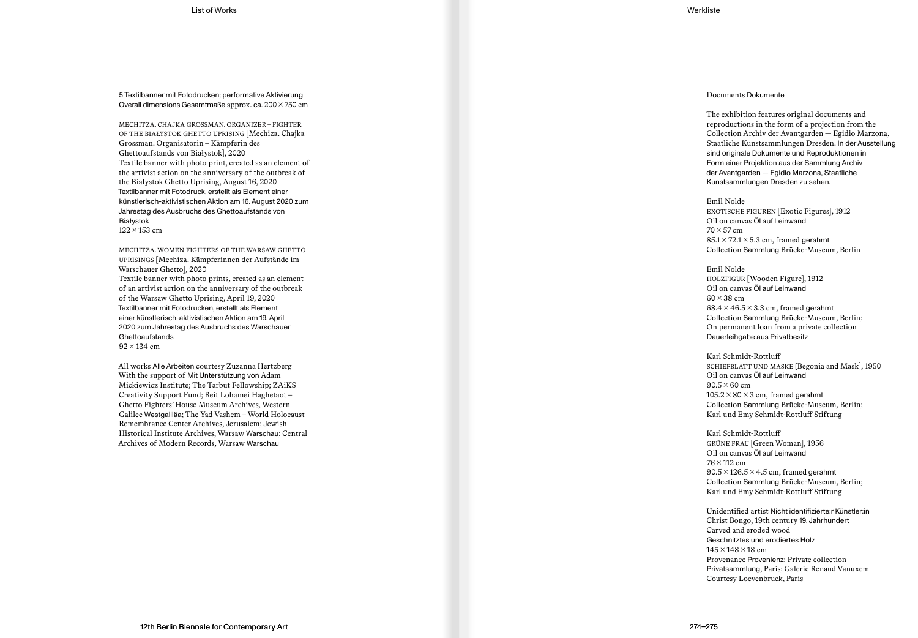5 Textilbanner mit Fotodrucken; performative Aktivierung Overall dimensions Gesamtmaße approx. ca. 200 × 750 cm

MECHITZA. CHAJKA GROSSMAN. ORGANIZER – FIGHTER OF THE BIAŁYSTOK GHETTO UPRISING [Mechiza. Chajka Grossman. Organisatorin – Kämpferin des Ghettoaufstands von Białystok], 2020 Textile banner with photo print, created as an element of the artivist action on the anniversary of the outbreak of the Białystok Ghetto Uprising, August 16, 2020 Textilbanner mit Fotodruck, erstellt als Element einer künstlerisch-aktivistischen Aktion am 16. August 2020 zum Jahrestag des Ausbruchs des Ghettoaufstands von Białystok 122 × 153 cm

MECHITZA. WOMEN FIGHTERS OF THE WARSAW GHETTO UPRISINGS [Mechiza. Kämpferinnen der Aufstände im Warschauer Ghetto], 2020 Textile banner with photo prints, created as an element of an artivist action on the anniversary of the outbreak of the Warsaw Ghetto Uprising, April 19, 2020 Textilbanner mit Fotodrucken, erstellt als Element einer künstlerisch-aktivistischen Aktion am 19. April 2020 zum Jahrestag des Ausbruchs des Warschauer Ghettoaufstands 92 × 134 cm

All works Alle Arbeiten courtesy Zuzanna Hertzberg With the support of Mit Unterstützung von Adam Mickiewicz Institute; The Tarbut Fellowship; ZAiKS Creativity Support Fund; Beit Lohamei Haghetaot – Ghetto Fighters' House Museum Archives, Western Galilee Westgaliläa; The Yad Vashem – World Holocaust Remembrance Center Archives, Jerusalem; Jewish Historical Institute Archives, Warsaw Warschau; Central Archives of Modern Records, Warsaw Warschau

## Documents Dokumente

The exhibition features original documents and reproductions in the form of a projection from the Collection Archiv der Avantgarden — Egidio Marzona, Staatliche Kunstsammlungen Dresden. In der Ausstellung sind originale Dokumente und Reproduktionen in Form einer Projektion aus der Sammlung Archiv der Avantgarden — Egidio Marzona, Staatliche Kunstsammlungen Dresden zu sehen.

#### Emil Nolde

EXOTISCHE FIGUREN [Exotic Figures], 1912 Oil on canvas Öl auf Leinwand  $70 \times 57$  cm  $85.1 \times 72.1 \times 5.3$  cm, framed gerahmt Collection Sammlung Brücke-Museum, Berlin

## Emil Nolde

HOLZFIGUR [Wooden Figure], 1912 Oil on canvas Öl auf Leinwand  $60 \times 38$  cm  $68.4 \times 46.5 \times 3.3$  cm, framed gerahmt Collection Sammlung Brücke-Museum, Berlin; On permanent loan from a private collection Dauerleihgabe aus Privatbesitz

#### Karl Schmidt-Rottluff

SCHIEFBLATT UND MASKE [Begonia and Mask], 1950 Oil on canvas Öl auf Leinwand  $90.5 \times 60$  cm  $105.2 \times 80 \times 3$  cm, framed gerahmt Collection Sammlung Brücke-Museum, Berlin; Karl und Emy Schmidt-Rottluff Stiftung

Karl Schmidt-Rottluff GRÜNE FRAU [Green Woman], 1956 Oil on canvas Öl auf Leinwand 76 × 112 cm  $90.5 \times 126.5 \times 4.5$  cm, framed gerahmt Collection Sammlung Brücke-Museum, Berlin; Karl und Emy Schmidt-Rottluff Stiftung

Unidentified artist Nicht identifizierte:r Künstler:in Christ Bongo, 19th century 19. Jahrhundert Carved and eroded wood Geschnitztes und erodiertes Holz  $145 \times 148 \times 18$  cm Provenance Provenienz: Private collection Privatsammlung, Paris; Galerie Renaud Vanuxem Courtesy Loevenbruck, Paris